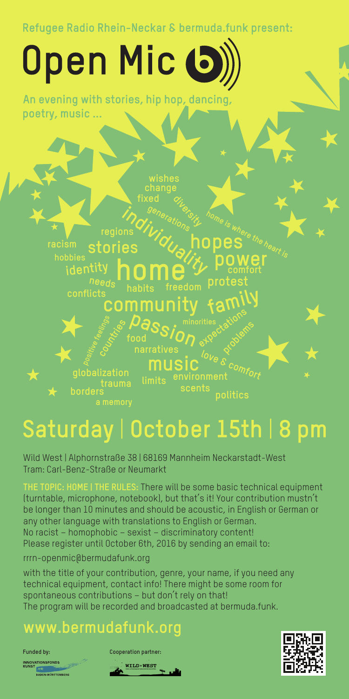Refugee Radio Rhein-Neckar & bermuda.funk present:

# Open Mic (5

An evening with stories, hip hop, dancing, poetry, music ...



#### Saturday | October 15th | 8  $n_{\rm m}$

Wild West | Alphornstraße 38 | 68169 Mannheim Neckarstadt-West Tram: Carl-Benz-Straße or Neumarkt

**THE TOPIC: HOME | THE RULES:** There will be some basic technical equipment (turntable, microphone, notebook), but that's it! Your contribution mustn't be longer than 10 minutes and should be acoustic, in English or German or any other language with translations to English or German. No racist – homophobic – sexist – discriminatory content! Please register until October 6th, 2016 by sending an email to:

#### rrrn-openmic@bermudafunk.org

with the title of your contribution, genre, your name, if you need any technical equipment, contact info! There might be some room for spontaneous contributions – but don't rely on that! The program will be recorded and broadcasted at bermuda.funk.

### **www.bermudafunk.org**